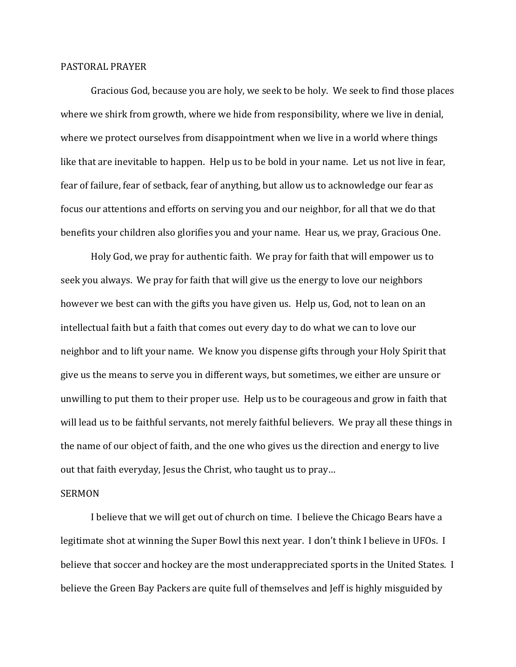## PASTORAL PRAYER

 Gracious God, because you are holy, we seek to be holy. We seek to find those places where we shirk from growth, where we hide from responsibility, where we live in denial, where we protect ourselves from disappointment when we live in a world where things like that are inevitable to happen. Help us to be bold in your name. Let us not live in fear, fear of failure, fear of setback, fear of anything, but allow us to acknowledge our fear as focus our attentions and efforts on serving you and our neighbor, for all that we do that benefits your children also glorifies you and your name. Hear us, we pray, Gracious One.

 Holy God, we pray for authentic faith. We pray for faith that will empower us to seek you always. We pray for faith that will give us the energy to love our neighbors however we best can with the gifts you have given us. Help us, God, not to lean on an intellectual faith but a faith that comes out every day to do what we can to love our neighbor and to lift your name. We know you dispense gifts through your Holy Spirit that give us the means to serve you in different ways, but sometimes, we either are unsure or unwilling to put them to their proper use. Help us to be courageous and grow in faith that will lead us to be faithful servants, not merely faithful believers. We pray all these things in the name of our object of faith, and the one who gives us the direction and energy to live out that faith everyday, Jesus the Christ, who taught us to pray…

## SERMON

 I believe that we will get out of church on time. I believe the Chicago Bears have a legitimate shot at winning the Super Bowl this next year. I don't think I believe in UFOs. I believe that soccer and hockey are the most underappreciated sports in the United States. I believe the Green Bay Packers are quite full of themselves and Jeff is highly misguided by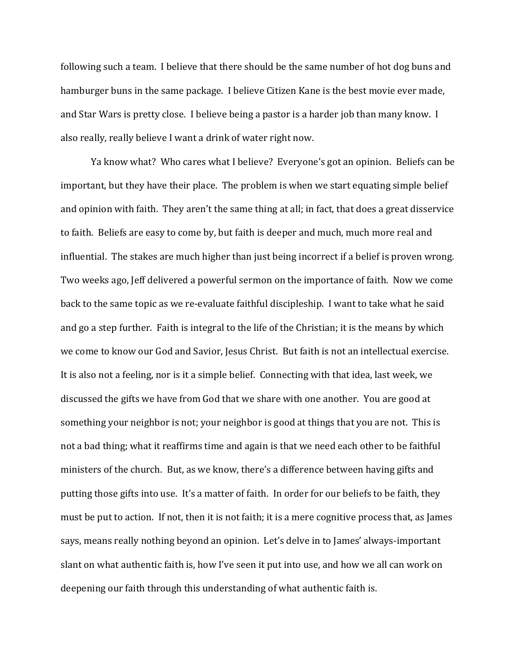following such a team. I believe that there should be the same number of hot dog buns and hamburger buns in the same package. I believe Citizen Kane is the best movie ever made, and Star Wars is pretty close. I believe being a pastor is a harder job than many know. I also really, really believe I want a drink of water right now.

Ya know what? Who cares what I believe? Everyone's got an opinion. Beliefs can be important, but they have their place. The problem is when we start equating simple belief and opinion with faith. They aren't the same thing at all; in fact, that does a great disservice to faith. Beliefs are easy to come by, but faith is deeper and much, much more real and influential. The stakes are much higher than just being incorrect if a belief is proven wrong. Two weeks ago, Jeff delivered a powerful sermon on the importance of faith. Now we come back to the same topic as we re-evaluate faithful discipleship. I want to take what he said and go a step further. Faith is integral to the life of the Christian; it is the means by which we come to know our God and Savior, Jesus Christ. But faith is not an intellectual exercise. It is also not a feeling, nor is it a simple belief. Connecting with that idea, last week, we discussed the gifts we have from God that we share with one another. You are good at something your neighbor is not; your neighbor is good at things that you are not. This is not a bad thing; what it reaffirms time and again is that we need each other to be faithful ministers of the church. But, as we know, there's a difference between having gifts and putting those gifts into use. It's a matter of faith. In order for our beliefs to be faith, they must be put to action. If not, then it is not faith; it is a mere cognitive process that, as James says, means really nothing beyond an opinion. Let's delve in to James' always-important slant on what authentic faith is, how I've seen it put into use, and how we all can work on deepening our faith through this understanding of what authentic faith is.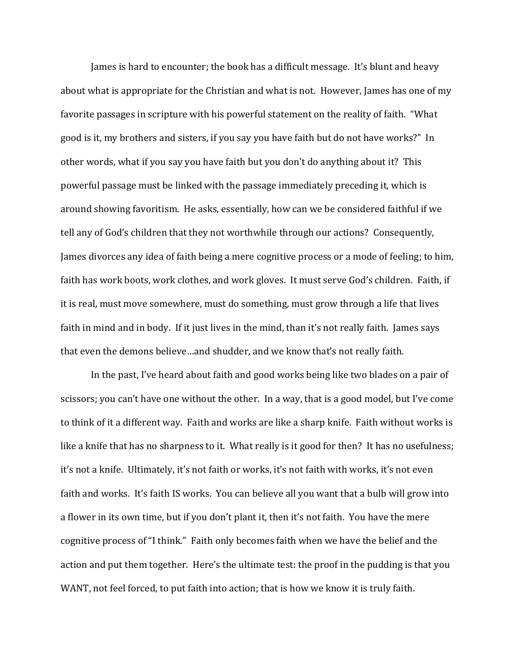James is hard to encounter; the book has a difficult message. It's blunt and heavy about what is appropriate for the Christian and what is not. However, James has one of my favorite passages in scripture with his powerful statement on the reality of faith. "What good is it, my brothers and sisters, if you say you have faith but do not have works?" In other words, what if you say you have faith but you don't do anything about it? This powerful passage must be linked with the passage immediately preceding it, which is around showing favoritism. He asks, essentially, how can we be considered faithful if we tell any of God's children that they not worthwhile through our actions? Consequently, James divorces any idea of faith being a mere cognitive process or a mode of feeling; to him, faith has work boots, work clothes, and work gloves. It must serve God's children. Faith, if it is real, must move somewhere, must do something, must grow through a life that lives faith in mind and in body. If it just lives in the mind, than it's not really faith. James says that even the demons believe…and shudder, and we know that's not really faith.

In the past, I've heard about faith and good works being like two blades on a pair of scissors; you can't have one without the other. In a way, that is a good model, but I've come to think of it a different way. Faith and works are like a sharp knife. Faith without works is like a knife that has no sharpness to it. What really is it good for then? It has no usefulness; it's not a knife. Ultimately, it's not faith or works, it's not faith with works, it's not even faith and works. It's faith IS works. You can believe all you want that a bulb will grow into a flower in its own time, but if you don't plant it, then it's not faith. You have the mere cognitive process of "I think." Faith only becomes faith when we have the belief and the action and put them together. Here's the ultimate test: the proof in the pudding is that you WANT, not feel forced, to put faith into action; that is how we know it is truly faith.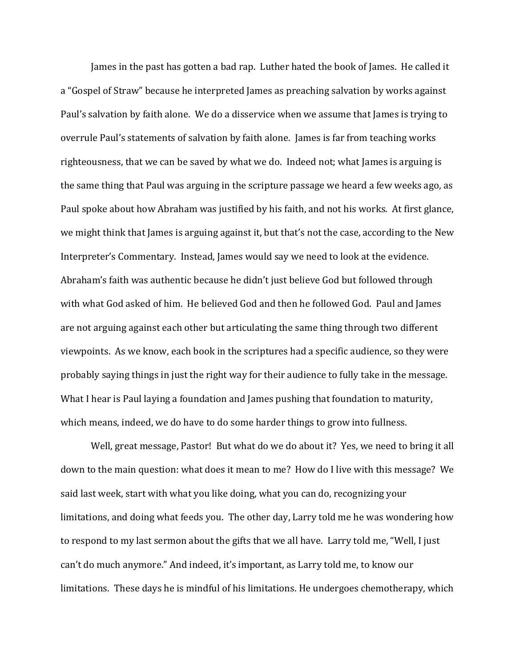James in the past has gotten a bad rap. Luther hated the book of James. He called it a "Gospel of Straw" because he interpreted James as preaching salvation by works against Paul's salvation by faith alone. We do a disservice when we assume that James is trying to overrule Paul's statements of salvation by faith alone. James is far from teaching works righteousness, that we can be saved by what we do. Indeed not; what James is arguing is the same thing that Paul was arguing in the scripture passage we heard a few weeks ago, as Paul spoke about how Abraham was justified by his faith, and not his works. At first glance, we might think that James is arguing against it, but that's not the case, according to the New Interpreter's Commentary. Instead, James would say we need to look at the evidence. Abraham's faith was authentic because he didn't just believe God but followed through with what God asked of him. He believed God and then he followed God. Paul and James are not arguing against each other but articulating the same thing through two different viewpoints. As we know, each book in the scriptures had a specific audience, so they were probably saying things in just the right way for their audience to fully take in the message. What I hear is Paul laying a foundation and James pushing that foundation to maturity, which means, indeed, we do have to do some harder things to grow into fullness.

Well, great message, Pastor! But what do we do about it? Yes, we need to bring it all down to the main question: what does it mean to me? How do I live with this message? We said last week, start with what you like doing, what you can do, recognizing your limitations, and doing what feeds you. The other day, Larry told me he was wondering how to respond to my last sermon about the gifts that we all have. Larry told me, "Well, I just can't do much anymore." And indeed, it's important, as Larry told me, to know our limitations. These days he is mindful of his limitations. He undergoes chemotherapy, which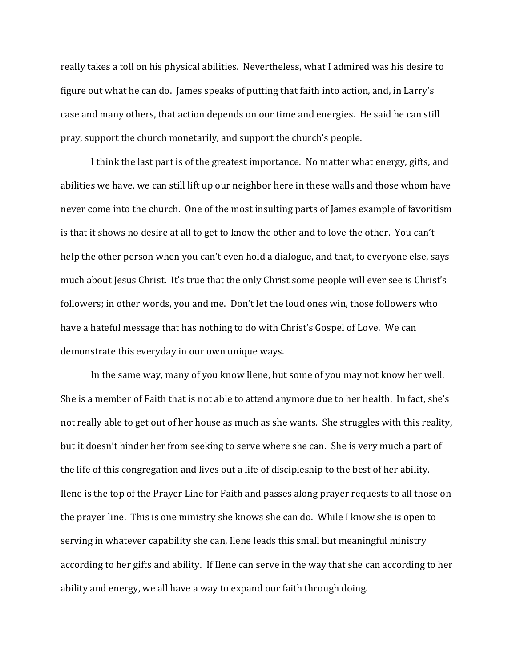really takes a toll on his physical abilities. Nevertheless, what I admired was his desire to figure out what he can do. James speaks of putting that faith into action, and, in Larry's case and many others, that action depends on our time and energies. He said he can still pray, support the church monetarily, and support the church's people.

I think the last part is of the greatest importance. No matter what energy, gifts, and abilities we have, we can still lift up our neighbor here in these walls and those whom have never come into the church. One of the most insulting parts of James example of favoritism is that it shows no desire at all to get to know the other and to love the other. You can't help the other person when you can't even hold a dialogue, and that, to everyone else, says much about Jesus Christ. It's true that the only Christ some people will ever see is Christ's followers; in other words, you and me. Don't let the loud ones win, those followers who have a hateful message that has nothing to do with Christ's Gospel of Love. We can demonstrate this everyday in our own unique ways.

 In the same way, many of you know Ilene, but some of you may not know her well. She is a member of Faith that is not able to attend anymore due to her health. In fact, she's not really able to get out of her house as much as she wants. She struggles with this reality, but it doesn't hinder her from seeking to serve where she can. She is very much a part of the life of this congregation and lives out a life of discipleship to the best of her ability. Ilene is the top of the Prayer Line for Faith and passes along prayer requests to all those on the prayer line. This is one ministry she knows she can do. While I know she is open to serving in whatever capability she can, Ilene leads this small but meaningful ministry according to her gifts and ability. If Ilene can serve in the way that she can according to her ability and energy, we all have a way to expand our faith through doing.